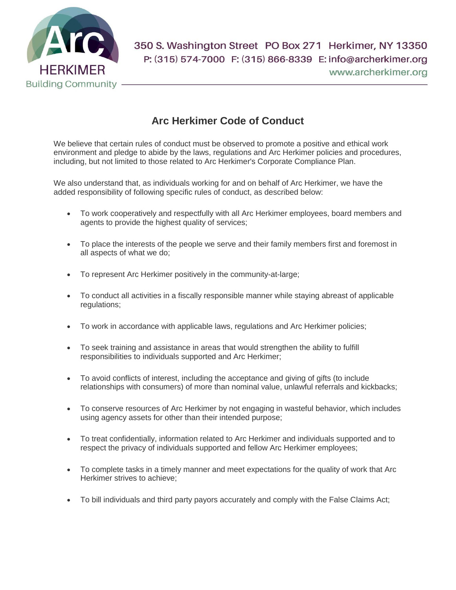

## **Arc Herkimer Code of Conduct**

We believe that certain rules of conduct must be observed to promote a positive and ethical work environment and pledge to abide by the laws, regulations and Arc Herkimer policies and procedures, including, but not limited to those related to Arc Herkimer's Corporate Compliance Plan.

We also understand that, as individuals working for and on behalf of Arc Herkimer, we have the added responsibility of following specific rules of conduct, as described below:

- To work cooperatively and respectfully with all Arc Herkimer employees, board members and agents to provide the highest quality of services;
- To place the interests of the people we serve and their family members first and foremost in all aspects of what we do;
- To represent Arc Herkimer positively in the community-at-large;
- To conduct all activities in a fiscally responsible manner while staying abreast of applicable regulations;
- To work in accordance with applicable laws, regulations and Arc Herkimer policies;
- To seek training and assistance in areas that would strengthen the ability to fulfill responsibilities to individuals supported and Arc Herkimer;
- To avoid conflicts of interest, including the acceptance and giving of gifts (to include relationships with consumers) of more than nominal value, unlawful referrals and kickbacks;
- To conserve resources of Arc Herkimer by not engaging in wasteful behavior, which includes using agency assets for other than their intended purpose;
- To treat confidentially, information related to Arc Herkimer and individuals supported and to respect the privacy of individuals supported and fellow Arc Herkimer employees;
- To complete tasks in a timely manner and meet expectations for the quality of work that Arc Herkimer strives to achieve;
- To bill individuals and third party payors accurately and comply with the False Claims Act;